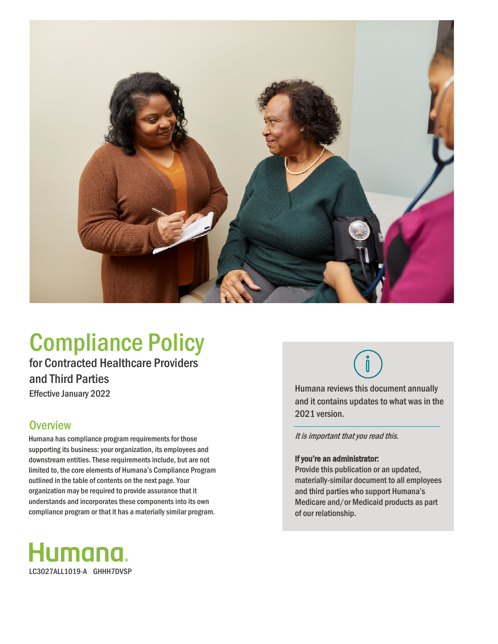

# Compliance Policy

for Contracted Healthcare Providers and Third Parties Effective January 2022

### **Overview**

Humana has compliance program requirements for those supporting its business: your organization, its employees and downstream entities. These requirements include, but are not limited to, the core elements of Humana's Compliance Program outlined in the table of contents on the next page. Your organization may be required to provide assurance that it understands and incorporates these components into its own compliance program or that it has a materially similar program.





Humana reviews this document annually and it contains updates to what was in the 2021 version.

It is important that you read this.

### If you're an administrator:

Provide this publication or an updated, materially-similar document to all employees and third parties who support Humana's Medicare and/or Medicaid products as part of our relationship.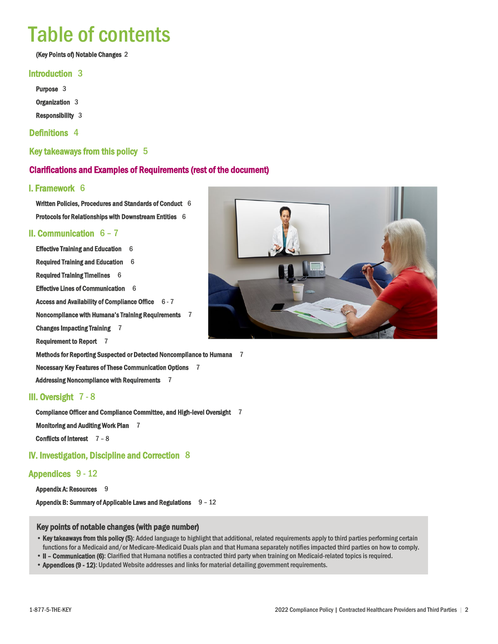# Table of contents

(Key Points of) Notable Changes 2

### Introduction 3

Purpose 3 Organization 3

Responsibility 3

### Definitions 4

Key takeaways from this policy 5

### Clarifications and Examples of Requirements (rest of the document)

### I. Framework 6

Written Policies, Procedures and Standards of Conduct 6 Protocols for Relationships with Downstream Entities 6

### II. Communication 6 – 7

Effective Training and Education 6 Required Training and Education 6 Required Training Timelines 6 Effective Lines of Communication 6 Access and Availability of Compliance Office 6 - 7 Noncompliance with Humana's Training Requirements 7 Changes Impacting Training 7 Requirement to Report 7 Methods for Reporting Suspected or Detected Noncompliance to Humana 7

Necessary Key Features of These Communication Options 7

Addressing Noncompliance with Requirements 7

### III. Oversight 7 - 8

Compliance Officer and Compliance Committee, and High-level Oversight 7 Monitoring and Auditing Work Plan 7

Conflicts of Interest 7 – 8

### IV. Investigation, Discipline and Correction 8

### Appendices 9 - 12

Appendix A: Resources 9

Appendix B: Summary of Applicable Laws and Regulations  $9 - 12$ 

#### Key points of notable changes(with page number)

- Key takeaways from this policy (5): Added language to highlight that additional, related requirements apply to third parties performing certain functions for a Medicaid and/or Medicare-Medicaid Duals plan and that Humana separately notifies impacted third parties on how to comply.
- II Communication (6): Clarified that Humana notifies a contracted third party when training on Medicaid-related topics is required.
- Appendices (9 12): Updated Website addresses and links for material detailing government requirements.

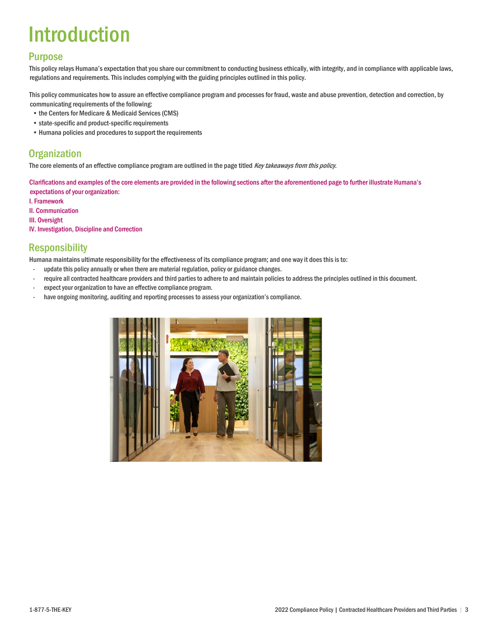# Introduction

### Purpose

This policy relays Humana's expectation that you share our commitment to conducting business ethically, with integrity, and in compliance with applicable laws, regulations and requirements. This includes complying with the guiding principles outlined in this policy.

This policy communicates how to assure an effective compliance program and processes for fraud, waste and abuse prevention, detection and correction, by communicating requirements of the following:

- the Centers for Medicare & Medicaid Services (CMS)
- state-specific and product-specific requirements
- Humana policies and procedures to support the requirements

### **Organization**

The core elements of an effective compliance program are outlined in the page titled Key takeaways from this policy.

Clarifications and examples of the core elements are provided in the following sections after the aforementioned page to further illustrate Humana's expectations of your organization:

- I. Framework
- II. Communication
- III. Oversight
- IV. Investigation, Discipline and Correction

### **Responsibility**

Humana maintains ultimate responsibility for the effectiveness of its compliance program; and one way it does this is to:

- update this policy annually or when there are material regulation, policy or guidance changes.
- require all contracted healthcare providers and third parties to adhere to and maintain policies to address the principles outlined in this document.
- expect your organization to have an effective compliance program.
- have ongoing monitoring, auditing and reporting processes to assess your organization's compliance.

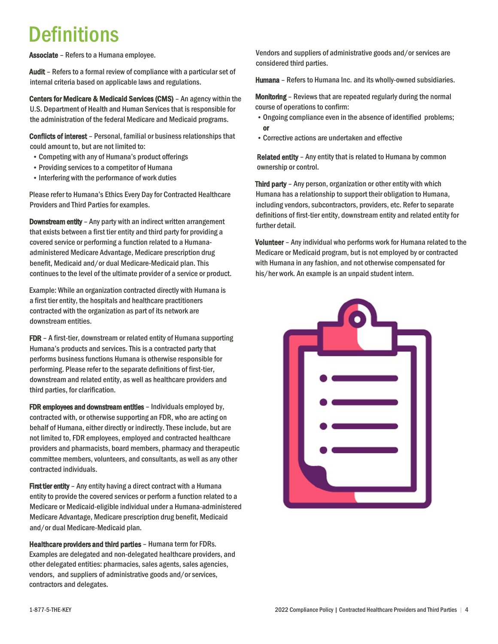# **Definitions**

Associate – Refers to a Humana employee.

Audit – Refers to a formal review of compliance with a particular set of internal criteria based on applicable laws and regulations.

Centers for Medicare & Medicaid Services (CMS) – An agency within the U.S. Department of Health and Human Services that is responsible for the administration of the federal Medicare and Medicaid programs.

Conflicts of interest – Personal, familial or business relationships that could amount to, but are not limited to:

- Competing with any of Humana's product offerings
- Providing services to a competitor of Humana
- Interfering with the performance of work duties

Please refer to Humana's Ethics Every Day for Contracted Healthcare Providers and Third Parties for examples.

**Downstream entity** - Any party with an indirect written arrangement that exists between a first tier entity and third party for providing a covered service or performing a function related to a Humanaadministered Medicare Advantage, Medicare prescription drug benefit, Medicaid and/or dual Medicare-Medicaid plan. This continues to the level of the ultimate provider of a service or product.

Example: While an organization contracted directly with Humana is a first tier entity, the hospitals and healthcare practitioners contracted with the organization as part of its network are downstream entities.

FDR – A first-tier, downstream or related entity of Humana supporting Humana's products and services. This is a contracted party that performs business functions Humana is otherwise responsible for performing. Please refer to the separate definitions of first-tier, downstream and related entity, as well as healthcare providers and third parties, for clarification.

FDR employees and downstream entities – Individuals employed by, contracted with, or otherwise supporting an FDR, who are acting on behalf of Humana, either directly or indirectly. These include, but are not limited to, FDR employees, employed and contracted healthcare providers and pharmacists, board members, pharmacy and therapeutic committee members, volunteers, and consultants, as well as any other contracted individuals.

First tier entity - Any entity having a direct contract with a Humana entity to provide the covered services or perform a function related to a Medicare or Medicaid-eligible individual under a Humana-administered Medicare Advantage, Medicare prescription drug benefit, Medicaid and/or dual Medicare-Medicaid plan.

Healthcare providers and third parties – Humana term for FDRs. Examples are delegated and non-delegated healthcare providers, and other delegated entities: pharmacies, sales agents, sales agencies, vendors, and suppliers of administrative goods and/or services, contractors and delegates.

Vendors and suppliers of administrative goods and/or services are considered third parties.

Humana - Refers to Humana Inc. and its wholly-owned subsidiaries.

**Monitoring** – Reviews that are repeated regularly during the normal course of operations to confirm:

- •Ongoing compliance even in the absence of identified problems; or
- •Corrective actions are undertaken and effective

Related entity - Any entity that is related to Humana by common ownership or control.

Third party - Any person, organization or other entity with which Humana has a relationship to support their obligation to Humana, including vendors, subcontractors, providers, etc. Refer to separate definitions of first-tier entity, downstream entity and related entity for further detail.

Volunteer – Any individual who performs work for Humana related to the Medicare or Medicaid program, but is not employed by or contracted with Humana in any fashion, and not otherwise compensated for his/her work. An example is an unpaid student intern.

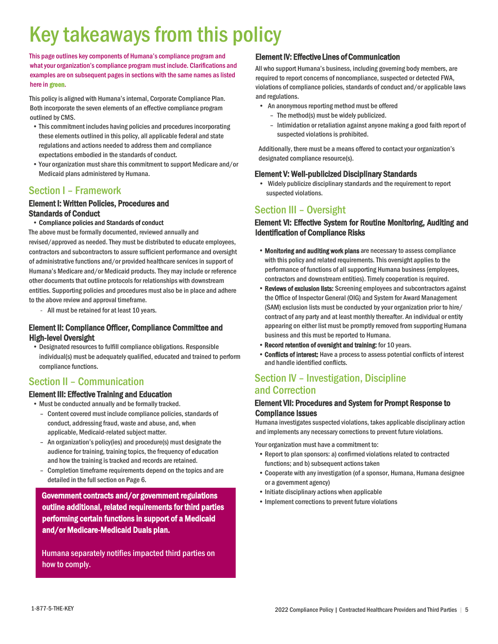# Key takeaways from this policy

This page outlines key components of Humana's compliance program and what your organization's compliance program must include. Clarifications and examples are on subsequent pages in sections with the same names as listed here in green.

This policy is aligned with Humana's internal, Corporate Compliance Plan. Both incorporate the seven elements of an effective compliance program outlined by CMS.

- This commitment includes having policies and procedures incorporating these elements outlined in this policy, all applicable federal and state regulations and actions needed to address them and compliance expectations embodied in the standards of conduct.
- Your organization must share this commitment to support Medicare and/or Medicaid plans administered by Humana.

### Section I – Framework

## Element I: Written Policies, Procedures and Standards of Conduct<br>• Compliance policies and Standards of conduct

The above must be formally documented, reviewed annually and revised/approved as needed. They must be distributed to educate employees, contractors and subcontractors to assure sufficient performance and oversight of administrative functions and/or provided healthcare services in support of Humana's Medicare and/or Medicaid products. They may include or reference other documents that outline protocols for relationships with downstream entities. Supporting policies and procedures must also be in place and adhere to the above review and approval timeframe.

- All must be retained for at least 10 years.

### Element II: Compliance Officer, Compliance Committee and High-level Oversight

• Designated resources to fulfill compliance obligations. Responsible individual(s) must be adequately qualified, educated and trained to perform compliance functions.

### Section II – Communication

### Element III: Effective Training and Education

• Must be conducted annually and be formally tracked.

- Content covered must include compliance policies, standards of conduct, addressing fraud, waste and abuse, and, when applicable, Medicaid-related subject matter.
- An organization's policy(ies) and procedure(s) must designate the audience for training, training topics, the frequency of education and how the training is tracked and records are retained.
- Completion timeframe requirements depend on the topics and are detailed in the full section on Page 6.

### Government contracts and/or government regulations outline additional, related requirements for third parties performing certain functions in support of a Medicaid and/or Medicare-Medicaid Duals plan.

Humana separately notifies impacted third parties on how to comply.

### Element IV: Effective Lines of Communication

All who support Humana's business, including governing body members, are required to report concerns of noncompliance, suspected or detected FWA, violations of compliance policies, standards of conduct and/or applicable laws and regulations.

- An anonymous reporting method must be offered
	- The method(s) must be widely publicized.
	- Intimidation or retaliation against anyone making a good faith report of suspected violations is prohibited.

Additionally, there must be a means offered to contact your organization's designated compliance resource(s).

#### Element V: Well-publicized Disciplinary Standards

• Widely publicize disciplinary standards and the requirement to report suspected violations.

### Section III – Oversight

### Element VI: Effective System for Routine Monitoring, Auditing and Identification of Compliance Risks

- Monitoring and auditing work plans are necessary to assess compliance with this policy and related requirements. This oversight applies to the performance of functions of all supporting Humana business (employees, contractors and downstream entities). Timely cooperation is required.
- Reviews of exclusion lists: Screening employees and subcontractors against the Office of Inspector General (OIG) and System for Award Management (SAM) exclusion lists must be conducted by your organization prior to hire/ contract of any party and at least monthly thereafter. An individual or entity appearing on either list must be promptly removed from supporting Humana business and this must be reported to Humana.
- •Record retention of oversight and training: for 10 years.
- •Conflicts of interest: Have a process to assess potential conflicts of interest and handle identified conflicts.

### Section IV – Investigation, Discipline and Correction

## Element VII: Procedures and System for Prompt Response to **Compliance Issues**<br>Humana investigates suspected violations, takes applicable disciplinary action

and implements any necessary corrections to prevent future violations.

Your organization must have a commitment to:

- Report to plan sponsors: a) confirmed violations related to contracted functions; and b) subsequent actions taken
- Cooperate with any investigation (of a sponsor, Humana, Humana designee or a government agency)
- Initiate disciplinary actions when applicable
- Implement corrections to prevent future violations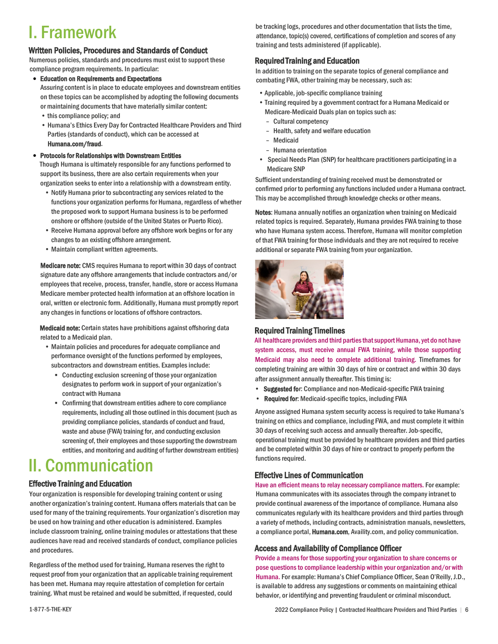# I. Framework

### Written Policies, Procedures and Standards of Conduct

Numerous policies, standards and procedures must exist to support these compliance program requirements. In particular:

- Education on Requirements and Expectations Assuring content is in place to educate employees and downstream entities on these topics can be accomplished by adopting the following documents
	- or maintaining documents that have materially similar content:
	- this compliance policy; and
	- Humana's Ethics Every Day for Contracted Healthcare Providers and Third Parties (standards of conduct), which can be accessed at

Humana.com/fraud.

### • Protocols for Relationships with Downstream Entities

Though Humana is ultimately responsible for any functions performed to support its business, there are also certain requirements when your organization seeks to enter into a relationship with a downstream entity.

- Notify Humana prior to subcontracting any services related to the functions your organization performs for Humana, regardless of whether the proposed work to support Humana business is to be performed onshore or offshore (outside of the United States or Puerto Rico).
- Receive Humana approval before any offshore work begins or for any changes to an existing offshore arrangement.
- Maintain compliant written agreements.

Medicare note: CMS requires Humana to report within 30 days of contract signature date any offshore arrangements that include contractors and/or employees that receive, process, transfer, handle, store or access Humana Medicare member protected health information at an offshore location in oral, written or electronic form. Additionally, Humana must promptly report any changes in functions or locations of offshore contractors.

Medicaid note: Certain states have prohibitions against offshoring data related to a Medicaid plan.

- Maintain policies and procedures for adequate compliance and performance oversight of the functions performed by employees, subcontractors and downstream entities. Examples include:
	- Conducting exclusion screening of those your organization designates to perform work in support of your organization's contract with Humana
	- Confirming that downstream entities adhere to core compliance requirements, including all those outlined in this document (such as providing compliance policies, standards of conduct and fraud, waste and abuse (FWA) training for, and conducting exclusion screening of, their employees and those supporting the downstream entities, and monitoring and auditing of further downstream entities)

# II. Communication

### Effective Training and Education

Your organization is responsible for developing training content or using another organization's training content. Humana offers materials that can be used for many of the training requirements. Your organization's discretion may be used on how training and other education is administered. Examples include classroom training, online training modules or attestations that these audiences have read and received standards of conduct, compliance policies and procedures.

Regardless of the method used for training, Humana reserves the right to request proof from your organization that an applicable training requirement has been met. Humana may require attestation of completion for certain training. What must be retained and would be submitted, if requested, could

be tracking logs, procedures and other documentation that lists the time, attendance, topic(s) covered, certifications of completion and scores of any training and tests administered (if applicable).

### Required Training and Education

In addition to training on the separate topics of general compliance and combating FWA, other training may be necessary, such as:

- •Applicable, job-specific compliance training
- Training required by a government contract for a Humana Medicaid or Medicare-Medicaid Duals plan on topics such as:
	- Cultural competency
	- Health, safety and welfare education
	- Medicaid
	- Humana orientation
- Special Needs Plan (SNP) for healthcare practitioners participating in a Medicare SNP

Sufficient understanding of training received must be demonstrated or confirmed prior to performing any functions included under a Humana contract. This may be accomplished through knowledge checks or other means.

Notes: Humana annually notifies an organization when training on Medicaid related topics is required. Separately, Humana provides FWA training to those who have Humana system access.Therefore, Humana will monitor completion of that FWA training for those individuals and they are not required to receive additional or separate FWA training from your organization.



### Required Training Timelines

All healthcare providers and third parties that support Humana, yet do not have system access, must receive annual FWA training, while those supporting Medicaid may also need to complete additional training. Timeframes for completing training are within 30 days of hire or contract and within 30 days after assignment annually thereafter. This timing is:

- Suggested for: Compliance and non-Medicaid-specific FWA training
- Required for: Medicaid-specific topics, including FWA

Anyone assigned Humana system security access is required to take Humana's training on ethics and compliance, including FWA, and must complete it within 30 days of receiving such access and annually thereafter. Job-specific, operational training must be provided by healthcare providers and third parties and be completed within 30 days of hire or contract to properly perform the functions required.

### Effective Lines of Communication

Have an efficient means to relay necessary compliance matters. For example: Humana communicates with its associates through the company intranet to provide continual awareness of the importance of compliance. Humana also communicates regularly with its healthcare providers and third parties through a variety of methods, including contracts, administration manuals, newsletters, a compliance portal, Humana.com, Availity.com, and policy communication.

### Access and Availability of Compliance Officer

Provide a means for those supporting your organization to share concerns or pose questions to compliance leadership within your organization and/or with Humana. For example: Humana's Chief Compliance Officer, Sean O'Reilly, J.D., is available to address any suggestions or comments on maintaining ethical behavior, or identifying and preventing fraudulent or criminal misconduct.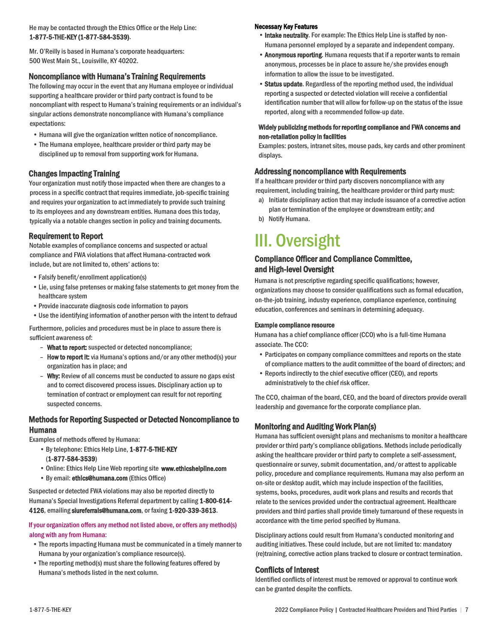#### He may be contacted through the Ethics Office or the Help Line: 1-877-5-THE-KEY (1-877-584-3539).

Mr. O'Reilly is based in Humana's corporate headquarters: 500 West Main St., Louisville, KY 40202.

#### Noncompliance with Humana's Training Requirements

The following may occur in the event that any Humana employee or individual supporting a healthcare provider or third party contract is found to be noncompliant with respect to Humana's training requirements or an individual's singular actions demonstrate noncompliance with Humana's compliance expectations:

- Humana will give the organization written notice of noncompliance.
- The Humana employee, healthcare provider or third party may be disciplined up to removal from supporting work for Humana.

### Changes Impacting Training

Your organization must notify those impacted when there are changes to a process in a specific contract that requires immediate, job-specific training and requires your organization to act immediately to provide such training to its employees and any downstream entities. Humana does this today, typically via a notable changes section in policy and training documents.

### Requirement to Report

Notable examples of compliance concerns and suspected or actual compliance and FWA violations that affect Humana-contracted work include, but are not limited to, others' actions to:

- •Falsify benefit/enrollment application(s)
- •Lie, using false pretenses or making false statements to get money from the healthcare system
- •Provide inaccurate diagnosis code information to payors
- •Use the identifying information of another person with the intent to defraud

Furthermore, policies and procedures must be in place to assure there is sufficient awareness of:

- What to report: suspected or detected noncompliance;
- How to report it: via Humana's options and/or any other method(s) your organization has in place; and
- Why: Review of all concerns must be conducted to assure no gaps exist and to correct discovered process issues. Disciplinary action up to termination of contract or employment can result for not reporting suspected concerns.

### Methods for Reporting Suspected or Detected Noncompliance to Humana

Examples of methods offered by Humana:

- •By telephone: Ethics Help Line, 1-877-5-THE-KEY (1-877-584-3539)
- •Online: Ethics Help Line Web reporting site [www.ethicshelpline.com](http://www.ethicshelpline.com/)
- •By email: ethics@humana.com (Ethics Office)

Suspected or detected FWA violations may also be reported directly to Humana's Special Investigations Referral department by calling 1-800-614- 4126, emailing siureferrals@humana.com, or faxing 1-920-339-3613.

#### If your organization offers any method not listed above, or offers any method(s) along with any from Humana:

- •The reports impacting Humana must be communicated in a timely manner to Humana by your organization's compliance resource(s).
- •The reporting method(s) must share the following features offered by Humana's methods listed in the next column.

#### Necessary Key Features

- Intake neutrality. For example: The Ethics Help Line is staffed by non-Humana personnel employed by a separate and independent company.
- Anonymous reporting. Humana requests that if a reporter wants to remain anonymous, processes be in place to assure he/she provides enough information to allow the issue to be investigated.
- Status update. Regardless of the reporting method used, the individual reporting a suspected or detected violation will receive a confidential identification number that will allow for follow-up on the status of the issue reported, along with a recommended follow-up date.

#### Widely publicizing methods for reporting compliance and FWA concerns and non-retaliation policy in facilities

Examples: posters, intranet sites, mouse pads, key cards and other prominent displays.

#### Addressing noncompliance with Requirements

If a healthcare provider or third party discovers noncompliance with any requirement, including training, the healthcare provider or third party must:

- a) Initiate disciplinary action that may include issuance of a corrective action plan or termination of the employee or downstream entity; and
- b) Notify Humana.

# III. Oversight

### Compliance Officer and Compliance Committee, and High-level Oversight

Humana is not prescriptive regarding specific qualifications; however, organizations may choose to consider qualifications such as formal education, on-the-job training, industry experience, compliance experience, continuing education, conferences and seminars in determining adequacy.

#### Example compliance resource

Humana has a chief compliance officer (CCO) who is a full-time Humana associate. The CCO:

- Participates on company compliance committees and reports on the state of compliance matters to the audit committee of the board of directors; and
- Reports indirectly to the chief executive officer (CEO), and reports administratively to the chief risk officer.

The CCO, chairman of the board, CEO, and the board of directors provide overall leadership and governance for the corporate compliance plan.

### Monitoring and Auditing Work Plan(s)

Humana has sufficient oversight plans and mechanisms to monitor a healthcare provider or third party's compliance obligations. Methods include periodically asking the healthcare provider or third party to complete a self-assessment, questionnaire or survey, submit documentation, and/or attest to applicable policy, procedure and compliance requirements. Humana may also perform an on-site or desktop audit, which may include inspection of the facilities, systems, books, procedures, audit work plans and results and records that relate to the services provided under the contractual agreement. Healthcare providers and third parties shall provide timely turnaround of these requests in accordance with the time period specified by Humana.

Disciplinary actions could result from Humana's conducted monitoring and auditing initiatives. These could include, but are not limited to: mandatory (re)training, corrective action plans tracked to closure or contract termination.

### Conflicts of Interest

Identified conflicts of interest must be removed or approval to continue work can be granted despite the conflicts.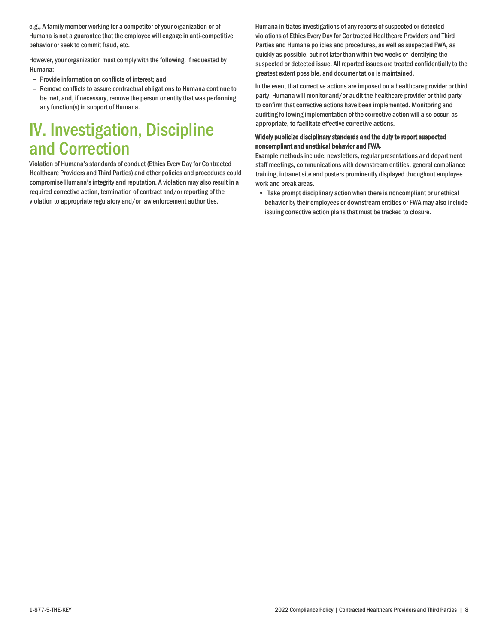e.g., A family member working for a competitor of your organization or of Humana is not a guarantee that the employee will engage in anti-competitive behavior or seek to commit fraud, etc.

However, your organization must comply with the following, if requested by Humana:

- Provide information on conflicts of interest; and
- Remove conflicts to assure contractual obligations to Humana continue to be met, and, if necessary, remove the person or entity that was performing any function(s) in support of Humana.

# IV. Investigation, Discipline and Correction

Violation of Humana's standards of conduct (Ethics Every Day for Contracted Healthcare Providers and Third Parties) and other policies and procedures could compromise Humana's integrity and reputation. A violation may also result in a required corrective action, termination of contract and/or reporting of the violation to appropriate regulatory and/or law enforcement authorities.

Humana initiates investigations of any reports of suspected or detected violations of Ethics Every Day for Contracted Healthcare Providers and Third Parties and Humana policies and procedures, as well as suspected FWA, as quickly as possible, but not later than within two weeks of identifying the suspected or detected issue. All reported issues are treated confidentially to the greatest extent possible, and documentation is maintained.

In the event that corrective actions are imposed on a healthcare provider or third party, Humana will monitor and/or audit the healthcare provider or third party to confirm that corrective actions have been implemented. Monitoring and auditing following implementation of the corrective action will also occur, as appropriate, to facilitate effective corrective actions.

#### Widely publicize disciplinary standards and the duty to report suspected noncompliant and unethical behavior and FWA.

Example methods include: newsletters, regular presentations and department staff meetings, communications with downstream entities, general compliance training, intranet site and posters prominently displayed throughout employee work and break areas.

• Take prompt disciplinary action when there is noncompliant or unethical behavior by their employees or downstream entities or FWA may also include issuing corrective action plans that must be tracked to closure.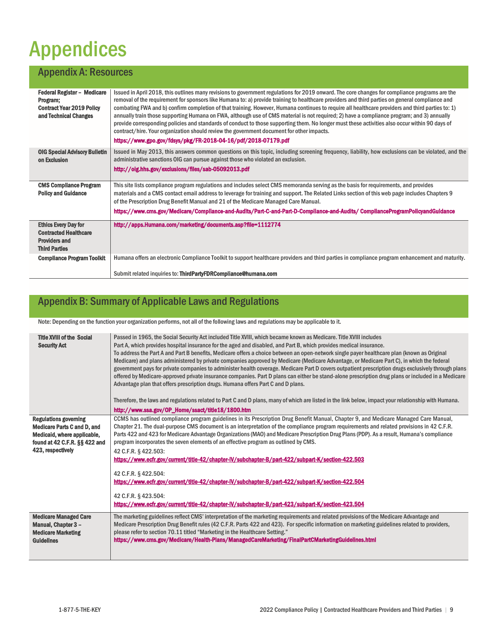# Appendices

### Appendix A: Resources

| <b>Federal Register - Medicare</b><br>Program;<br><b>Contract Year 2019 Policy</b><br>and Technical Changes | Issued in April 2018, this outlines many revisions to government regulations for 2019 onward. The core changes for compliance programs are the<br>removal of the requirement for sponsors like Humana to: a) provide training to healthcare providers and third parties on general compliance and<br>combating FWA and b) confirm completion of that training. However, Humana continues to require all healthcare providers and third parties to: 1)<br>annually train those supporting Humana on FWA, although use of CMS material is not required; 2) have a compliance program; and 3) annually<br>provide corresponding policies and standards of conduct to those supporting them. No longer must these activities also occur within 90 days of<br>contract/hire. Your organization should review the government document for other impacts.<br>https://www.gpo.gov/fdsys/pkg/FR-2018-04-16/pdf/2018-07179.pdf |
|-------------------------------------------------------------------------------------------------------------|----------------------------------------------------------------------------------------------------------------------------------------------------------------------------------------------------------------------------------------------------------------------------------------------------------------------------------------------------------------------------------------------------------------------------------------------------------------------------------------------------------------------------------------------------------------------------------------------------------------------------------------------------------------------------------------------------------------------------------------------------------------------------------------------------------------------------------------------------------------------------------------------------------------------|
| <b>OIG Special Advisory Bulletin</b><br>on Exclusion                                                        | Issued in May 2013, this answers common questions on this topic, including screening frequency, liability, how exclusions can be violated, and the<br>administrative sanctions OIG can pursue against those who violated an exclusion.                                                                                                                                                                                                                                                                                                                                                                                                                                                                                                                                                                                                                                                                               |
|                                                                                                             | http://oig.hhs.gov/exclusions/files/sab-05092013.pdf                                                                                                                                                                                                                                                                                                                                                                                                                                                                                                                                                                                                                                                                                                                                                                                                                                                                 |
| <b>CMS Compliance Program</b><br><b>Policy and Guidance</b>                                                 | This site lists compliance program regulations and includes select CMS memoranda serving as the basis for requirements, and provides<br>materials and a CMS contact email address to leverage for training and support. The Related Links section of this web page includes Chapters 9<br>of the Prescription Drug Benefit Manual and 21 of the Medicare Managed Care Manual.                                                                                                                                                                                                                                                                                                                                                                                                                                                                                                                                        |
|                                                                                                             | https://www.cms.gov/Medicare/Compliance-and-Audits/Part-C-and-Part-D-Compliance-and-Audits/ComplianceProgramPolicyandGuidance                                                                                                                                                                                                                                                                                                                                                                                                                                                                                                                                                                                                                                                                                                                                                                                        |
| <b>Ethics Every Day for</b><br><b>Contracted Healthcare</b><br><b>Providers and</b><br><b>Third Parties</b> | http://apps.Humana.com/marketing/documents.asp?file=1112774                                                                                                                                                                                                                                                                                                                                                                                                                                                                                                                                                                                                                                                                                                                                                                                                                                                          |
| <b>Compliance Program Toolkit</b>                                                                           | Humana offers an electronic Compliance Toolkit to support healthcare providers and third parties in compliance program enhancement and maturity.                                                                                                                                                                                                                                                                                                                                                                                                                                                                                                                                                                                                                                                                                                                                                                     |
|                                                                                                             | Submit related inquiries to: ThirdPartyFDRCompliance@humana.com                                                                                                                                                                                                                                                                                                                                                                                                                                                                                                                                                                                                                                                                                                                                                                                                                                                      |

# Appendix B: Summary of Applicable Laws and Regulations

Note: Depending on the function your organization performs, not all of the following laws and regulations may be applicable to it.

| <b>Title XVIII of the Social</b><br><b>Security Act</b>                                                                                                 | Passed in 1965, the Social Security Act included Title XVIII, which became known as Medicare. Title XVIII includes<br>Part A, which provides hospital insurance for the aged and disabled, and Part B, which provides medical insurance.<br>To address the Part A and Part B benefits, Medicare offers a choice between an open-network single payer healthcare plan (known as Original<br>Medicare) and plans administered by private companies approved by Medicare (Medicare Advantage, or Medicare Part C), in which the federal<br>government pays for private companies to administer health coverage. Medicare Part D covers outpatient prescription drugs exclusively through plans<br>offered by Medicare-approved private insurance companies. Part D plans can either be stand-alone prescription drug plans or included in a Medicare<br>Advantage plan that offers prescription drugs. Humana offers Part C and D plans.<br>Therefore, the laws and regulations related to Part C and D plans, many of which are listed in the link below, impact your relationship with Humana. |
|---------------------------------------------------------------------------------------------------------------------------------------------------------|-----------------------------------------------------------------------------------------------------------------------------------------------------------------------------------------------------------------------------------------------------------------------------------------------------------------------------------------------------------------------------------------------------------------------------------------------------------------------------------------------------------------------------------------------------------------------------------------------------------------------------------------------------------------------------------------------------------------------------------------------------------------------------------------------------------------------------------------------------------------------------------------------------------------------------------------------------------------------------------------------------------------------------------------------------------------------------------------------|
|                                                                                                                                                         | http://www.ssa.gov/OP_Home/ssact/title18/1800.htm                                                                                                                                                                                                                                                                                                                                                                                                                                                                                                                                                                                                                                                                                                                                                                                                                                                                                                                                                                                                                                             |
| <b>Regulations governing</b><br><b>Medicare Parts C and D, and</b><br>Medicaid, where applicable,<br>found at 42 C.F.R. §§ 422 and<br>423, respectively | CCMS has outlined compliance program guidelines in its Prescription Drug Benefit Manual, Chapter 9, and Medicare Managed Care Manual,<br>Chapter 21. The dual-purpose CMS document is an interpretation of the compliance program requirements and related provisions in 42 C.F.R.<br>Parts 422 and 423 for Medicare Advantage Organizations (MAO) and Medicare Prescription Drug Plans (PDP). As a result, Humana's compliance<br>program incorporates the seven elements of an effective program as outlined by CMS.<br>42 C.F.R. § 422.503:<br>https://www.ecfr.gov/current/title-42/chapter-IV/subchapter-B/part-422/subpart-K/section-422.503<br>42 C.F.R. § 422.504:<br>https://www.ecfr.gov/current/title-42/chapter-IV/subchapter-B/part-422/subpart-K/section-422.504<br>42 C.F.R. § 423.504:<br>https://www.ecfr.gov/current/title-42/chapter-IV/subchapter-B/part-423/subpart-K/section-423.504                                                                                                                                                                                    |
| <b>Medicare Managed Care</b><br><b>Manual, Chapter 3 -</b><br><b>Medicare Marketing</b><br><b>Guidelines</b>                                            | The marketing guidelines reflect CMS' interpretation of the marketing requirements and related provisions of the Medicare Advantage and<br>Medicare Prescription Drug Benefit rules (42 C.F.R. Parts 422 and 423). For specific information on marketing guidelines related to providers,<br>please refer to section 70.11 titled "Marketing in the Healthcare Setting."<br>https://www.cms.gov/Medicare/Health-Plans/ManagedCareMarketing/FinalPartCMarketingGuidelines.html                                                                                                                                                                                                                                                                                                                                                                                                                                                                                                                                                                                                                 |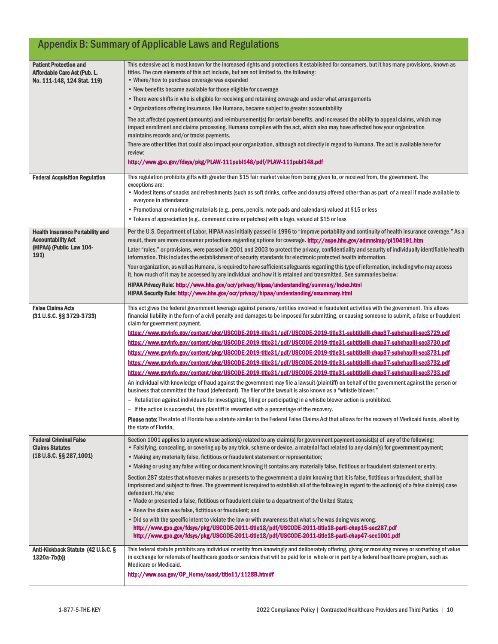# Appendix B: Summary of Applicable Laws and Regulations

| <b>Patient Protection and</b><br>Affordable Care Act (Pub. L.<br>No. 111-148, 124 Stat. 119) | This extensive act is most known for the increased rights and protections it established for consumers, but it has many provisions, known as<br>titles. The core elements of this act include, but are not limited to, the following:<br>• Where/how to purchase coverage was expanded                                          |
|----------------------------------------------------------------------------------------------|---------------------------------------------------------------------------------------------------------------------------------------------------------------------------------------------------------------------------------------------------------------------------------------------------------------------------------|
|                                                                                              | • New benefits became available for those eligible for coverage                                                                                                                                                                                                                                                                 |
|                                                                                              | • There were shifts in who is eligible for receiving and retaining coverage and under what arrangements                                                                                                                                                                                                                         |
|                                                                                              | • Organizations offering insurance, like Humana, became subject to greater accountability                                                                                                                                                                                                                                       |
|                                                                                              | The act affected payment (amounts) and reimbursement(s) for certain benefits, and increased the ability to appeal claims, which may<br>impact enrollment and claims processing. Humana complies with the act, which also may have affected how your organization<br>maintains records and/or tracks payments.                   |
|                                                                                              | There are other titles that could also impact your organization, although not directly in regard to Humana. The act is available here for<br>review:                                                                                                                                                                            |
|                                                                                              | http://www.gpo.gov/fdsys/pkg/PLAW-111publ148/pdf/PLAW-111publ148.pdf                                                                                                                                                                                                                                                            |
| <b>Federal Acquisition Regulation</b>                                                        | This regulation prohibits gifts with greater than \$15 fair market value from being given to, or received from, the government. The<br>exceptions are:                                                                                                                                                                          |
|                                                                                              | • Modest items of snacks and refreshments (such as soft drinks, coffee and donuts) offered other than as part of a meal if made available to<br>everyone in attendance                                                                                                                                                          |
|                                                                                              | • Promotional or marketing materials (e.g., pens, pencils, note pads and calendars) valued at \$15 or less                                                                                                                                                                                                                      |
|                                                                                              | • Tokens of appreciation (e.g., command coins or patches) with a logo, valued at \$15 or less                                                                                                                                                                                                                                   |
| <b>Health Insurance Portability and</b>                                                      | Per the U.S. Department of Labor, HIPAA was initially passed in 1996 to "improve portability and continuity of health insurance coverage." As a                                                                                                                                                                                 |
| <b>Accountability Act</b>                                                                    | result, there are more consumer protections regarding options for coverage. <b>http://aspe.hhs.gov/admnsimp/pl104191.htm</b>                                                                                                                                                                                                    |
| (HIPAA) (Public Law 104-<br>191)                                                             | Later "rules," or provisions, were passed in 2001 and 2003 to protect the privacy, confidentiality and security of individually identifiable health<br>information. This includes the establishment of security standards for electronic protected health information.                                                          |
|                                                                                              | Your organization, as well as Humana, is required to have sufficient safeguards regarding this type of information, including who may access<br>it, how much of it may be accessed by any individual and how it is retained and transmitted. See summaries below:                                                               |
|                                                                                              | HIPAA Privacy Rule: http://www.hhs.gov/ocr/privacy/hipaa/understanding/summary/index.html                                                                                                                                                                                                                                       |
|                                                                                              | HIPAA Security Rule: http://www.hhs.gov/ocr/privacy/hipaa/understanding/srsummary.html                                                                                                                                                                                                                                          |
| <b>False Claims Acts</b><br>(31 U.S.C. §§ 3729-3733)                                         | This act gives the federal government leverage against persons/entities involved in fraudulent activities with the government. This allows<br>financial liability in the form of a civil penalty and damages to be imposed for submitting, or causing someone to submit, a false or fraudulent<br>claim for government payment. |
|                                                                                              | <u>https://www.govinfo.gov/content/pkg/USCODE-2019-title31/pdf/USCODE-2019-title31-subtitleIII-chap37-subchapIII-sec3729.pdf</u>                                                                                                                                                                                                |
|                                                                                              | https://www.govinfo.gov/content/pkg/USCODE-2019-title31/pdf/USCODE-2019-title31-subtitleIII-chap37-subchapIII-sec3730.pdf                                                                                                                                                                                                       |
|                                                                                              | https://www.govinfo.gov/content/pkg/USCODE-2019-title31/pdf/USCODE-2019-title31-subtitleIII-chap37-subchapIII-sec3731.pdf                                                                                                                                                                                                       |
|                                                                                              | https://www.govinfo.gov/content/pkg/USCODE-2019-title31/pdf/USCODE-2019-title31-subtitleIII-chap37-subchapIII-sec3732.pdf                                                                                                                                                                                                       |
|                                                                                              | https://www.govinfo.gov/content/pkg/USCODE-2019-title31/pdf/USCODE-2019-title31-subtitleIII-chap37-subchapIII-sec3733.pdf                                                                                                                                                                                                       |
|                                                                                              | An individual with knowledge of fraud against the government may file a lawsuit (plaintiff) on behalf of the government against the person or<br>business that committed the fraud (defendant). The filer of the lawsuit is also known as a "whistle blower."                                                                   |
|                                                                                              | - Retaliation against individuals for investigating, filing or participating in a whistle blower action is prohibited.                                                                                                                                                                                                          |
|                                                                                              | - If the action is successful, the plaintiff is rewarded with a percentage of the recovery.                                                                                                                                                                                                                                     |
|                                                                                              | Please note: The state of Florida has a statute similar to the Federal False Claims Act that allows for the recovery of Medicaid funds, albeit by<br>the state of Florida.                                                                                                                                                      |
| <b>Federal Criminal False</b><br><b>Claims Statutes</b>                                      | Section 1001 applies to anyone whose action(s) related to any claim(s) for government payment consist(s) of any of the following:<br>• Falsifying, concealing, or covering up by any trick, scheme or device, a material fact related to any claim(s) for government payment;                                                   |
| $(18 U.S.C. \S$ § 287,1001)                                                                  | • Making any materially false, fictitious or fraudulent statement or representation;                                                                                                                                                                                                                                            |
|                                                                                              | • Making or using any false writing or document knowing it contains any materially false, fictitious or fraudulent statement or entry.                                                                                                                                                                                          |
|                                                                                              | Section 287 states that whoever makes or presents to the government a claim knowing that it is false, fictitious or fraudulent, shall be<br>imprisoned and subject to fines. The government is required to establish all of the following in regard to the action(s) of a false claim(s) case<br>defendant. He/she:             |
|                                                                                              | . Made or presented a false, fictitious or fraudulent claim to a department of the United States;                                                                                                                                                                                                                               |
|                                                                                              | • Knew the claim was false, fictitious or fraudulent; and                                                                                                                                                                                                                                                                       |
|                                                                                              | • Did so with the specific intent to violate the law or with awareness that what s/he was doing was wrong.                                                                                                                                                                                                                      |
|                                                                                              | http://www.gpo.gov/fdsys/pkg/USCODE-2011-title18/pdf/USCODE-2011-title18-partl-chap15-sec287.pdf<br>http://www.gpo.gov/fdsys/pkg/USCODE-2011-title18/pdf/USCODE-2011-title18-partl-chap47-sec1001.pdf                                                                                                                           |
| Anti-Kickback Statute (42 U.S.C. §<br>$1320a-7b(b)$                                          | This federal statute prohibits any individual or entity from knowingly and deliberately offering, giving or receiving money or something of value<br>in exchange for referrals of healthcare goods or services that will be paid for in whole or in part by a federal healthcare program, such as                               |
|                                                                                              | Medicare or Medicaid.                                                                                                                                                                                                                                                                                                           |
|                                                                                              | http://www.ssa.gov/OP_Home/ssact/title11/1128B.htm#f                                                                                                                                                                                                                                                                            |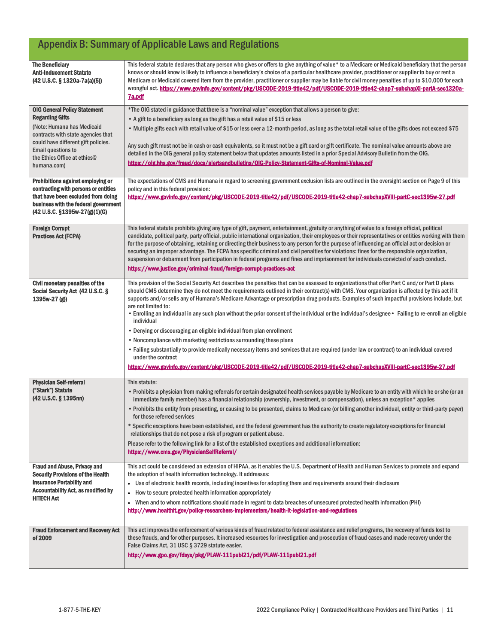# Appendix B: Summary of Applicable Laws and Regulations

| <b>The Beneficiary</b><br><b>Anti-Inducement Statute</b><br>(42 U.S.C. § 1320a-7a(a)(5))                                                                                                                                      | This federal statute declares that any person who gives or offers to give anything of value* to a Medicare or Medicaid beneficiary that the person<br>knows or should know is likely to influence a beneficiary's choice of a particular healthcare provider, practitioner or supplier to buy or rent a<br>Medicare or Medicaid covered item from the provider, practitioner or supplier may be liable for civil money penalties of up to \$10,000 for each<br>wrongful act. https://www.govinfo.gov/content/pkg/USCODE-2019-title42/pdf/USCODE-2019-title42-chap7-subchapXI-partA-sec1320a-<br><b>7a.pdf</b>                                                                                                                                                                                                                                                                                                                                                                                                                                                                                  |
|-------------------------------------------------------------------------------------------------------------------------------------------------------------------------------------------------------------------------------|------------------------------------------------------------------------------------------------------------------------------------------------------------------------------------------------------------------------------------------------------------------------------------------------------------------------------------------------------------------------------------------------------------------------------------------------------------------------------------------------------------------------------------------------------------------------------------------------------------------------------------------------------------------------------------------------------------------------------------------------------------------------------------------------------------------------------------------------------------------------------------------------------------------------------------------------------------------------------------------------------------------------------------------------------------------------------------------------|
| <b>OIG General Policy Statement</b>                                                                                                                                                                                           | *The OIG stated in guidance that there is a "nominal value" exception that allows a person to give:                                                                                                                                                                                                                                                                                                                                                                                                                                                                                                                                                                                                                                                                                                                                                                                                                                                                                                                                                                                            |
| <b>Regarding Gifts</b>                                                                                                                                                                                                        | • A gift to a beneficiary as long as the gift has a retail value of \$15 or less                                                                                                                                                                                                                                                                                                                                                                                                                                                                                                                                                                                                                                                                                                                                                                                                                                                                                                                                                                                                               |
| (Note: Humana has Medicaid<br>contracts with state agencies that<br>could have different gift policies.<br><b>Email questions to</b><br>the Ethics Office at ethics@<br>humana.com)                                           | • Multiple gifts each with retail value of \$15 or less over a 12-month period, as long as the total retail value of the gifts does not exceed \$75<br>Any such gift must not be in cash or cash equivalents, so it must not be a gift card or gift certificate. The nominal value amounts above are<br>detailed in the OIG general policy statement below that updates amounts listed in a prior Special Advisory Bulletin from the OIG.<br>https://oig.hhs.gov/fraud/docs/alertsandbulletins/OIG-Policy-Statement-Gifts-of-Nominal-Value.pdf                                                                                                                                                                                                                                                                                                                                                                                                                                                                                                                                                 |
|                                                                                                                                                                                                                               |                                                                                                                                                                                                                                                                                                                                                                                                                                                                                                                                                                                                                                                                                                                                                                                                                                                                                                                                                                                                                                                                                                |
| Prohibitions against employing or<br>contracting with persons or entities<br>that have been excluded from doing<br>business with the federal government<br>$(42 \text{ U.S.C. } $1395 \text{w} - 27 \text{(g)}(1) \text{(G)}$ | The expectations of CMS and Humana in regard to screening government exclusion lists are outlined in the oversight section on Page 9 of this<br>policy and in this federal provision:<br>https://www.govinfo.gov/content/pkg/USCODE-2019-title42/pdf/USCODE-2019-title42-chap7-subchapXVIII-partC-sec1395w-27.pdf                                                                                                                                                                                                                                                                                                                                                                                                                                                                                                                                                                                                                                                                                                                                                                              |
| <b>Foreign Corrupt</b><br><b>Practices Act (FCPA)</b>                                                                                                                                                                         | This federal statute prohibits giving any type of gift, payment, entertainment, gratuity or anything of value to a foreign official, political<br>candidate, political party, party official, public international organization, their employees or their representatives or entities working with them<br>for the purpose of obtaining, retaining or directing their business to any person for the purpose of influencing an official act or decision or<br>securing an improper advantage. The FCPA has specific criminal and civil penalties for violations: fines for the responsible organization,<br>suspension or debarment from participation in federal programs and fines and imprisonment for individuals convicted of such conduct.<br>https://www.justice.gov/criminal-fraud/foreign-corrupt-practices-act                                                                                                                                                                                                                                                                       |
| Civil monetary penalties of the<br>Social Security Act (42 U.S.C. §<br>$1395w-27(g)$                                                                                                                                          | This provision of the Social Security Act describes the penalties that can be assessed to organizations that offer Part C and/or Part D plans<br>should CMS determine they do not meet the requirements outlined in their contract(s) with CMS. Your organization is affected by this act if it<br>supports and/or sells any of Humana's Medicare Advantage or prescription drug products. Examples of such impactful provisions include, but<br>are not limited to:<br>• Enrolling an individual in any such plan without the prior consent of the individual or the individual's designee • Failing to re-enroll an eligible<br>individual<br>• Denying or discouraging an eligible individual from plan enrollment<br>• Noncompliance with marketing restrictions surrounding these plans<br>• Failing substantially to provide medically necessary items and services that are required (under law or contract) to an individual covered<br>under the contract<br>https://www.govinfo.gov/content/pkg/USCODE-2019-title42/pdf/USCODE-2019-title42-chap7-subchapXVIII-partC-sec1395w-27.pdf |
| <b>Physician Self-referral</b>                                                                                                                                                                                                | This statute:                                                                                                                                                                                                                                                                                                                                                                                                                                                                                                                                                                                                                                                                                                                                                                                                                                                                                                                                                                                                                                                                                  |
| ("Stark") Statute<br>(42 U.S.C. § 1395nn)                                                                                                                                                                                     | • Prohibits a physician from making referrals for certain designated health services payable by Medicare to an entity with which he or she (or an<br>immediate family member) has a financial relationship (ownership, investment, or compensation), unless an exception* applies<br>. Prohibits the entity from presenting, or causing to be presented, claims to Medicare (or billing another individual, entity or third-party payer)<br>for those referred services<br>* Specific exceptions have been established, and the federal government has the authority to create regulatory exceptions for financial<br>relationships that do not pose a risk of program or patient abuse.<br>Please refer to the following link for a list of the established exceptions and additional information:<br>https://www.cms.gov/PhysicianSelfReferral/                                                                                                                                                                                                                                              |
| <b>Fraud and Abuse, Privacy and</b>                                                                                                                                                                                           | This act could be considered an extension of HIPAA, as it enables the U.S. Department of Health and Human Services to promote and expand                                                                                                                                                                                                                                                                                                                                                                                                                                                                                                                                                                                                                                                                                                                                                                                                                                                                                                                                                       |
| <b>Security Provisions of the Health</b><br><b>Insurance Portability and</b><br><b>Accountability Act, as modified by</b><br><b>HITECH Act</b>                                                                                | the adoption of health information technology. It addresses:<br>Use of electronic health records, including incentives for adopting them and requirements around their disclosure<br>$\bullet$<br>How to secure protected health information appropriately<br>$\bullet$<br>• When and to whom notifications should made in regard to data breaches of unsecured protected health information (PHI)<br>http://www.healthit.gov/policy-researchers-implementers/health-it-legislation-and-regulations                                                                                                                                                                                                                                                                                                                                                                                                                                                                                                                                                                                            |
| <b>Fraud Enforcement and Recovery Act</b><br>of 2009                                                                                                                                                                          | This act improves the enforcement of various kinds of fraud related to federal assistance and relief programs, the recovery of funds lost to<br>these frauds, and for other purposes. It increased resources for investigation and prosecution of fraud cases and made recovery under the<br>False Claims Act, 31 USC § 3729 statute easier.<br>http://www.gpo.gov/fdsys/pkg/PLAW-111publ21/pdf/PLAW-111publ21.pdf                                                                                                                                                                                                                                                                                                                                                                                                                                                                                                                                                                                                                                                                             |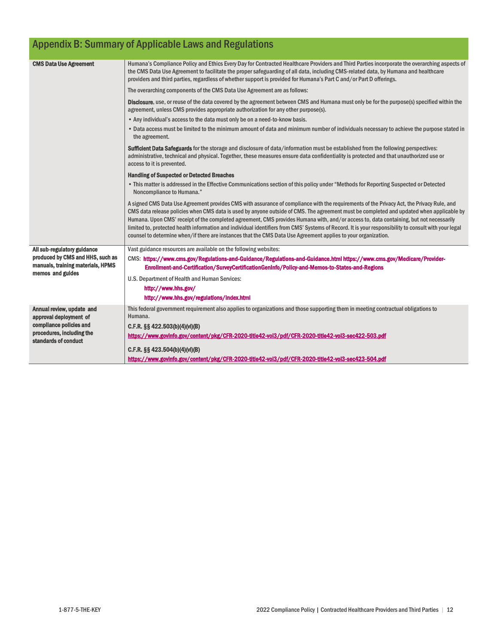| <b>Appendix B: Summary of Applicable Laws and Regulations</b>         |                                                                                                                                                                                                                                                                                                                                                                                                                                                                                                                                                                                                                                                                                                            |  |
|-----------------------------------------------------------------------|------------------------------------------------------------------------------------------------------------------------------------------------------------------------------------------------------------------------------------------------------------------------------------------------------------------------------------------------------------------------------------------------------------------------------------------------------------------------------------------------------------------------------------------------------------------------------------------------------------------------------------------------------------------------------------------------------------|--|
| <b>CMS Data Use Agreement</b>                                         | Humana's Compliance Policy and Ethics Every Day for Contracted Healthcare Providers and Third Parties incorporate the overarching aspects of<br>the CMS Data Use Agreement to facilitate the proper safeguarding of all data, including CMS-related data, by Humana and healthcare<br>providers and third parties, regardless of whether support is provided for Humana's Part C and/or Part D offerings.                                                                                                                                                                                                                                                                                                  |  |
|                                                                       | The overarching components of the CMS Data Use Agreement are as follows:                                                                                                                                                                                                                                                                                                                                                                                                                                                                                                                                                                                                                                   |  |
|                                                                       | Disclosure, use, or reuse of the data covered by the agreement between CMS and Humana must only be for the purpose(s) specified within the<br>agreement, unless CMS provides appropriate authorization for any other purpose(s).                                                                                                                                                                                                                                                                                                                                                                                                                                                                           |  |
|                                                                       | • Any individual's access to the data must only be on a need-to-know basis.                                                                                                                                                                                                                                                                                                                                                                                                                                                                                                                                                                                                                                |  |
|                                                                       | . Data access must be limited to the minimum amount of data and minimum number of individuals necessary to achieve the purpose stated in<br>the agreement.                                                                                                                                                                                                                                                                                                                                                                                                                                                                                                                                                 |  |
|                                                                       | Sufficient Data Safeguards for the storage and disclosure of data/information must be established from the following perspectives:<br>administrative, technical and physical. Together, these measures ensure data confidentiality is protected and that unauthorized use or<br>access to it is prevented.                                                                                                                                                                                                                                                                                                                                                                                                 |  |
|                                                                       | <b>Handling of Suspected or Detected Breaches</b>                                                                                                                                                                                                                                                                                                                                                                                                                                                                                                                                                                                                                                                          |  |
|                                                                       | . This matter is addressed in the Effective Communications section of this policy under "Methods for Reporting Suspected or Detected<br>Noncompliance to Humana."                                                                                                                                                                                                                                                                                                                                                                                                                                                                                                                                          |  |
|                                                                       | A signed CMS Data Use Agreement provides CMS with assurance of compliance with the requirements of the Privacy Act, the Privacy Rule, and<br>CMS data release policies when CMS data is used by anyone outside of CMS. The agreement must be completed and updated when applicable by<br>Humana. Upon CMS' receipt of the completed agreement, CMS provides Humana with, and/or access to, data containing, but not necessarily<br>limited to, protected health information and individual identifiers from CMS' Systems of Record. It is your responsibility to consult with your legal<br>counsel to determine when/if there are instances that the CMS Data Use Agreement applies to your organization. |  |
| All sub-regulatory guidance                                           | Vast guidance resources are available on the following websites:                                                                                                                                                                                                                                                                                                                                                                                                                                                                                                                                                                                                                                           |  |
| produced by CMS and HHS, such as<br>manuals, training materials, HPMS | CMS: https://www.cms.gov/Regulations-and-Guidance/Regulations-and-Guidance.html https://www.cms.gov/Medicare/Provider-<br>Enrollment-and-Certification/SurveyCertificationGenInfo/Policy-and-Memos-to-States-and-Regions                                                                                                                                                                                                                                                                                                                                                                                                                                                                                   |  |
| memos and guides                                                      | U.S. Department of Health and Human Services:                                                                                                                                                                                                                                                                                                                                                                                                                                                                                                                                                                                                                                                              |  |
|                                                                       | http://www.hhs.gov/                                                                                                                                                                                                                                                                                                                                                                                                                                                                                                                                                                                                                                                                                        |  |
|                                                                       | http://www.hhs.gov/regulations/index.html                                                                                                                                                                                                                                                                                                                                                                                                                                                                                                                                                                                                                                                                  |  |
| Annual review, update and                                             | This federal government requirement also applies to organizations and those supporting them in meeting contractual obligations to                                                                                                                                                                                                                                                                                                                                                                                                                                                                                                                                                                          |  |
| approval deployment of<br>compliance policies and                     | Humana.                                                                                                                                                                                                                                                                                                                                                                                                                                                                                                                                                                                                                                                                                                    |  |
| procedures, including the                                             | C.F.R. §§ 422.503(b)(4)(vi)(B)                                                                                                                                                                                                                                                                                                                                                                                                                                                                                                                                                                                                                                                                             |  |
| standards of conduct                                                  | https://www.govinfo.gov/content/pkg/CFR-2020-title42-vol3/pdf/CFR-2020-title42-vol3-sec422-503.pdf                                                                                                                                                                                                                                                                                                                                                                                                                                                                                                                                                                                                         |  |
|                                                                       | C.F.R. §§ 423.504(b)(4)(vi)(B)                                                                                                                                                                                                                                                                                                                                                                                                                                                                                                                                                                                                                                                                             |  |
|                                                                       | https://www.govinfo.gov/content/pkg/CFR-2020-title42-vol3/pdf/CFR-2020-title42-vol3-sec423-504.pdf                                                                                                                                                                                                                                                                                                                                                                                                                                                                                                                                                                                                         |  |